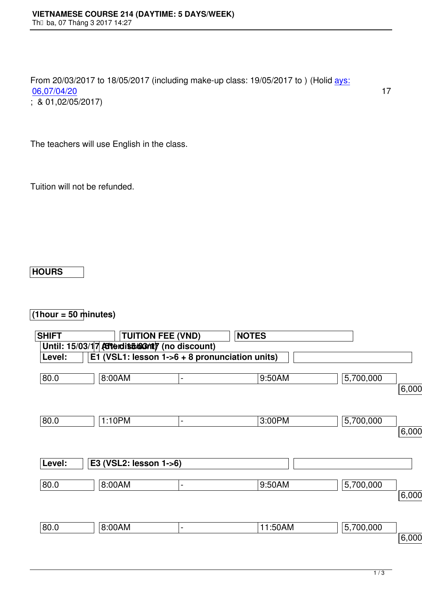## From 20/03/2017 to 18/05/2017 (including make-up class: 19/05/2017 to ) (Holid ays: 06,07/04/20 17  $;\;8.01,02/05/2017)$

The teachers will use English in the class.

Tuition will not be refunded.

## **HOURS**

## **(1hour = 50 minutes)**

| <b>SHIFT</b> |                                                | <b>TUITION FEE (VND)</b>     | <b>NOTES</b> |           |          |
|--------------|------------------------------------------------|------------------------------|--------------|-----------|----------|
|              | Until: 15/03/17 Atterdits 603/17 (no discount) |                              |              |           |          |
| Level:       | E1 (VSL1: lesson 1->6 + 8 pronunciation units) |                              |              |           |          |
|              |                                                |                              |              |           |          |
| 80.0         | 8:00AM                                         | $\blacksquare$               | 9:50AM       | 5,700,000 |          |
|              |                                                |                              |              |           | 6,000,00 |
|              |                                                |                              |              |           |          |
|              |                                                |                              |              |           |          |
| 80.0         | 1:10PM                                         | $\qquad \qquad \blacksquare$ | 3:00PM       | 5,700,000 |          |
|              |                                                |                              |              |           | 6,000,00 |
|              |                                                |                              |              |           |          |
| Level:       | E3 (VSL2: lesson 1->6)                         |                              |              |           |          |
|              |                                                |                              |              |           |          |
| 80.0         | 8:00AM                                         | $\overline{\phantom{a}}$     | 9:50AM       | 5,700,000 |          |
|              |                                                |                              |              |           | 6,000,00 |
|              |                                                |                              |              |           |          |
|              |                                                |                              |              |           |          |
| 80.0         | 8:00AM                                         | $\overline{\phantom{0}}$     | 11:50AM      | 5,700,000 |          |
|              |                                                |                              |              |           | 6,000,00 |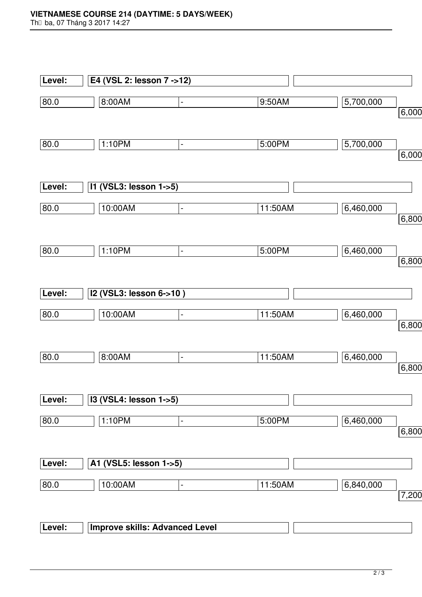|        | E4 (VSL 2: lesson 7 ->12)          |         |                    |
|--------|------------------------------------|---------|--------------------|
| 80.0   | 8:00AM<br>$\blacksquare$           | 9:50AM  | 5,700,000<br>6,000 |
|        |                                    |         |                    |
| 80.0   | 1:10PM<br>$\blacksquare$           | 5:00PM  | 5,700,000<br>6,000 |
| Level: | I1 (VSL3: lesson 1->5)             |         |                    |
|        |                                    |         |                    |
| 80.0   | 10:00AM<br>$\blacksquare$          | 11:50AM | 6,460,000          |
|        |                                    |         | 6,800              |
| 80.0   | 1:10PM<br>$\blacksquare$           | 5:00PM  | 6,460,000          |
|        |                                    |         | 6,800              |
| Level: | I2 (VSL3: lesson 6->10)            |         |                    |
| 80.0   | 10:00AM<br>$\blacksquare$          | 11:50AM | 6,460,000          |
|        |                                    |         | 6,800              |
| 80.0   | 8:00AM<br>$\overline{\phantom{a}}$ | 11:50AM | 6,460,000          |
|        |                                    |         | 6,800              |
| Level: | I3 (VSL4: lesson 1->5)             |         |                    |
| 80.0   | 1:10PM<br>$\blacksquare$           | 5:00PM  | 6,460,000          |
|        |                                    |         | 6,800              |
| Level: | A1 (VSL5: lesson 1->5)             |         |                    |
| 80.0   | 10:00AM<br>$\blacksquare$          | 11:50AM | 6,840,000          |
|        |                                    |         | 7,200              |
|        |                                    |         |                    |